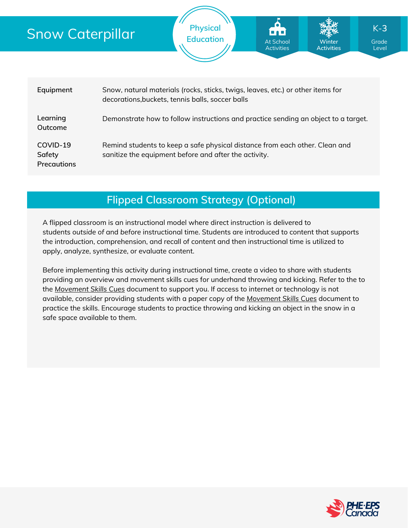# Snow

| now Caterpillar                   |                                                                                    | <b>Physical</b><br><b>Education</b>                                                                                                  | At School<br><b>Activities</b> | Winter<br><b>Activities</b> | $K-3$<br>Grade<br>Level |  |  |  |  |  |  |
|-----------------------------------|------------------------------------------------------------------------------------|--------------------------------------------------------------------------------------------------------------------------------------|--------------------------------|-----------------------------|-------------------------|--|--|--|--|--|--|
|                                   |                                                                                    |                                                                                                                                      |                                |                             |                         |  |  |  |  |  |  |
| Equipment                         |                                                                                    | Snow, natural materials (rocks, sticks, twigs, leaves, etc.) or other items for<br>decorations, buckets, tennis balls, soccer balls  |                                |                             |                         |  |  |  |  |  |  |
| Learning<br>Outcome               | Demonstrate how to follow instructions and practice sending an object to a target. |                                                                                                                                      |                                |                             |                         |  |  |  |  |  |  |
| COVID-19<br>Safety<br>Precautions |                                                                                    | Remind students to keep a safe physical distance from each other. Clean and<br>sanitize the equipment before and after the activity. |                                |                             |                         |  |  |  |  |  |  |

**Flipped Classroom Strategy (Optional)**

A flipped classroom is an instructional model where direct instruction is delivered to students *outside of* and *before* instructional time. Students are introduced to content that supports the introduction, comprehension, and recall of content and then instructional time is utilized to apply, analyze, synthesize, or evaluate content.

Before implementing this activity during instructional time, create a video to share with students providing an overview and movement skills cues for underhand throwing and kicking. Refer to the to the *[Movement](https://phecanada.ca/sites/default/files/content/docs/Home%20Learning%20Resource/Movement%20Cues/Movement%20Skills%20Cues%201.pdf) Skills Cues* document to support you. If access to internet or technology is not available, consider providing students with a paper copy of the *[Movement](https://phecanada.ca/sites/default/files/content/docs/Home%20Learning%20Resource/Movement%20Cues/Movement%20Skills%20Cues%201.pdf) Skills Cues* document to practice the skills. Encourage students to practice throwing and kicking an object in the snow in a safe space available to them.

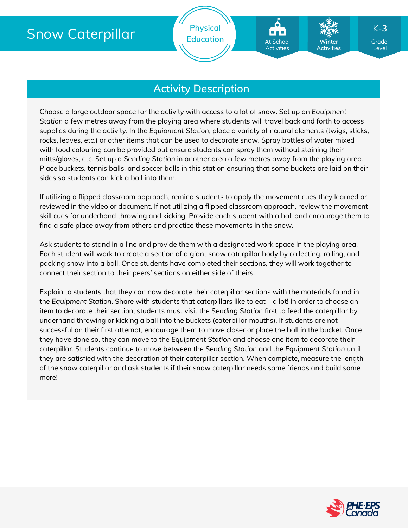# Snow Caterpillar

**Physical** Education **At School Marson Constant** 

### **Activity Description**

Choose a large outdoor space for the activity with access to a lot of snow. Set up an *Equipment Station* a few metres away from the playing area where students will travel back and forth to access supplies during the activity. In the *Equipment Station*, place a variety of natural elements (twigs, sticks, rocks, leaves, etc.) or other items that can be used to decorate snow. Spray bottles of water mixed with food colouring can be provided but ensure students can spray them without staining their mitts/gloves, etc. Set up a *Sending Station* in another area a few metres away from the playing area. Place buckets, tennis balls, and soccer balls in this station ensuring that some buckets are laid on their sides so students can kick a ball into them.

If utilizing a flipped classroom approach, remind students to apply the movement cues they learned or reviewed in the video or document. If not utilizing a flipped classroom approach, review the movement skill cues for underhand throwing and kicking. Provide each student with a ball and encourage them to find a safe place away from others and practice these movements in the snow.

Ask students to stand in a line and provide them with a designated work space in the playing area. Each student will work to create a section of a giant snow caterpillar body by collecting, rolling, and packing snow into a ball. Once students have completed their sections, they will work together to connect their section to their peers' sections on either side of theirs.

Explain to students that they can now decorate their caterpillar sections with the materials found in the *Equipment Station*. Share with students that caterpillars like to eat – a lot! In order to choose an item to decorate their section, students must visit the *Sending Station* first to feed the caterpillar by underhand throwing or kicking a ball into the buckets (caterpillar mouths). If students are not successful on their first attempt, encourage them to move closer or place the ball in the bucket. Once they have done so, they can move to the *Equipment Station* and choose one item to decorate their caterpillar. Students continue to move between the *Sending Station* and the *Equipment Station* until they are satisfied with the decoration of their caterpillar section. When complete, measure the length of the snow caterpillar and ask students if their snow caterpillar needs some friends and build some more!



Level

K-**3**

**Winter Activities**

At School Activities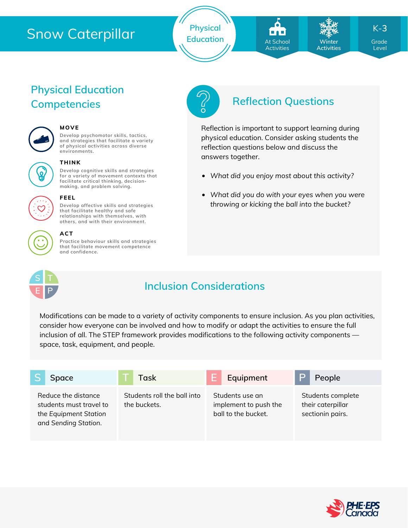# Snow Caterpillar

**Physical** Education **At School** Winter Grade

At School **Activities** 

**Winter Activities**

*What did you enjoy most about this activity?*

reflection questions below and discuss the

answers together.

Reflection is important to support learning during physical education. Consider asking students the

*What did you do with your eyes when you were throwing or kicking the ball into the bucket?*

K-**3**

Level

## **Physical Education Competencies Reflection Questions**



#### **MOVE**

**Develop psychomotor skills, tactics, and strategies that facilitate a variety of physical activities across diverse environments.**



#### **THINK**

**Develop cognitive skills and strategies for a variety of movement contexts that facilitate critical thinking, decision making, and problem solving.**



#### **FEEL**

**Develop affective skills and strategies that facilitate healthy and safe relationships with themselves, with others, and with their environment.**

#### **ACT**

**Practice behaviour skills and strategies that facilitate movement competence and confidence.**



## **Inclusion Considerations**

Modifications can be made to a variety of activity components to ensure inclusion. As you plan activities, consider how everyone can be involved and how to modify or adapt the activities to ensure the full inclusion of all. The STEP framework provides modifications to the following activity components space, task, equipment, and people.

|                                                                                                 | Space | Task                                        | Equipment                                                       | P | People                                                     |
|-------------------------------------------------------------------------------------------------|-------|---------------------------------------------|-----------------------------------------------------------------|---|------------------------------------------------------------|
| Reduce the distance<br>students must travel to<br>the Equipment Station<br>and Sending Station. |       | Students roll the ball into<br>the buckets. | Students use an<br>implement to push the<br>ball to the bucket. |   | Students complete<br>their caterpillar<br>sectionin pairs. |